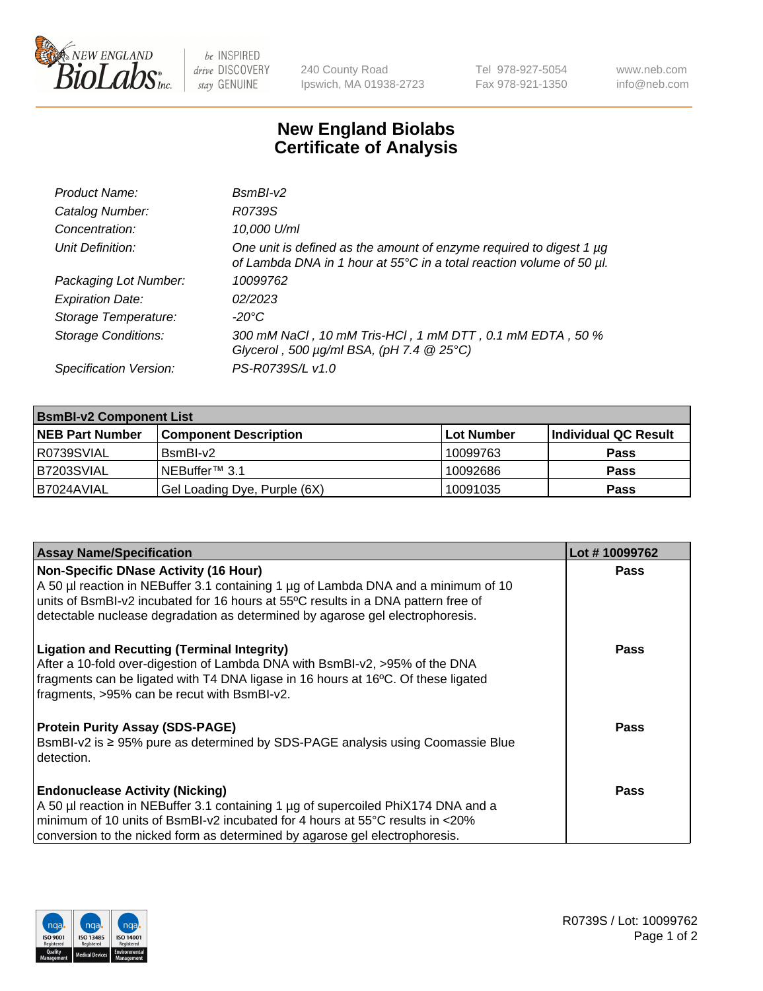

 $be$  INSPIRED drive DISCOVERY stay GENUINE

240 County Road Ipswich, MA 01938-2723 Tel 978-927-5054 Fax 978-921-1350 www.neb.com info@neb.com

## **New England Biolabs Certificate of Analysis**

| Product Name:              | $BsmBI-v2$                                                                                                                                  |
|----------------------------|---------------------------------------------------------------------------------------------------------------------------------------------|
| Catalog Number:            | R0739S                                                                                                                                      |
| Concentration:             | 10,000 U/ml                                                                                                                                 |
| Unit Definition:           | One unit is defined as the amount of enzyme required to digest 1 µg<br>of Lambda DNA in 1 hour at 55°C in a total reaction volume of 50 µl. |
| Packaging Lot Number:      | 10099762                                                                                                                                    |
| <b>Expiration Date:</b>    | 02/2023                                                                                                                                     |
| Storage Temperature:       | $-20^{\circ}$ C                                                                                                                             |
| <b>Storage Conditions:</b> | 300 mM NaCl, 10 mM Tris-HCl, 1 mM DTT, 0.1 mM EDTA, 50 %<br>Glycerol, 500 $\mu$ g/ml BSA, (pH 7.4 $@25°C$ )                                 |
| Specification Version:     | PS-R0739S/L v1.0                                                                                                                            |

| <b>BsmBI-v2 Component List</b> |                              |            |                      |  |  |
|--------------------------------|------------------------------|------------|----------------------|--|--|
| <b>NEB Part Number</b>         | <b>Component Description</b> | Lot Number | Individual QC Result |  |  |
| R0739SVIAL                     | $BsmBl-v2$                   | 10099763   | <b>Pass</b>          |  |  |
| B7203SVIAL                     | NEBuffer <sup>™</sup> 3.1    | 10092686   | <b>Pass</b>          |  |  |
| IB7024AVIAL                    | Gel Loading Dye, Purple (6X) | 10091035   | <b>Pass</b>          |  |  |

| <b>Assay Name/Specification</b>                                                    | Lot #10099762 |
|------------------------------------------------------------------------------------|---------------|
| <b>Non-Specific DNase Activity (16 Hour)</b>                                       | <b>Pass</b>   |
| A 50 µl reaction in NEBuffer 3.1 containing 1 µg of Lambda DNA and a minimum of 10 |               |
| units of BsmBI-v2 incubated for 16 hours at 55°C results in a DNA pattern free of  |               |
| detectable nuclease degradation as determined by agarose gel electrophoresis.      |               |
| <b>Ligation and Recutting (Terminal Integrity)</b>                                 | <b>Pass</b>   |
| After a 10-fold over-digestion of Lambda DNA with BsmBI-v2, >95% of the DNA        |               |
| fragments can be ligated with T4 DNA ligase in 16 hours at 16°C. Of these ligated  |               |
| fragments, >95% can be recut with BsmBI-v2.                                        |               |
|                                                                                    |               |
| <b>Protein Purity Assay (SDS-PAGE)</b>                                             | <b>Pass</b>   |
| BsmBI-v2 is ≥ 95% pure as determined by SDS-PAGE analysis using Coomassie Blue     |               |
| detection.                                                                         |               |
| <b>Endonuclease Activity (Nicking)</b>                                             | <b>Pass</b>   |
| A 50 µl reaction in NEBuffer 3.1 containing 1 µg of supercoiled PhiX174 DNA and a  |               |
|                                                                                    |               |
| minimum of 10 units of BsmBI-v2 incubated for 4 hours at 55°C results in <20%      |               |
| conversion to the nicked form as determined by agarose gel electrophoresis.        |               |